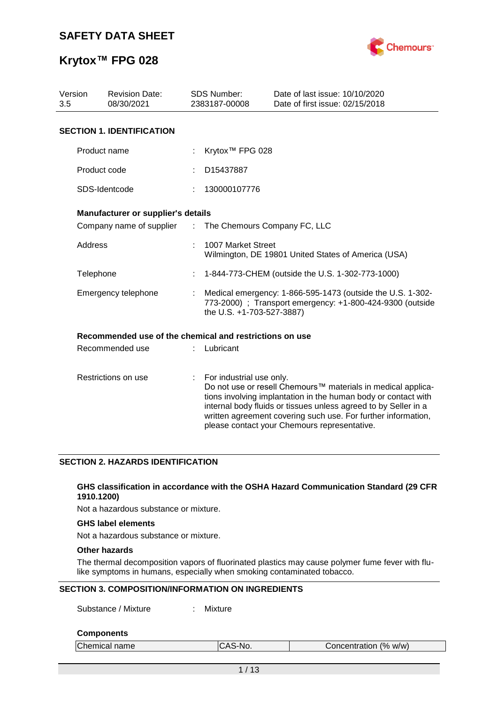

| Version<br><b>Revision Date:</b><br>08/30/2021<br>3.5 |                                                         |                               | <b>SDS Number:</b><br>2383187-00008 | Date of last issue: 10/10/2020<br>Date of first issue: 02/15/2018                                                                                                                                                                                                                                                  |  |  |  |
|-------------------------------------------------------|---------------------------------------------------------|-------------------------------|-------------------------------------|--------------------------------------------------------------------------------------------------------------------------------------------------------------------------------------------------------------------------------------------------------------------------------------------------------------------|--|--|--|
|                                                       | <b>SECTION 1. IDENTIFICATION</b>                        |                               |                                     |                                                                                                                                                                                                                                                                                                                    |  |  |  |
|                                                       | Product name                                            |                               | Krytox <sup>™</sup> FPG 028         |                                                                                                                                                                                                                                                                                                                    |  |  |  |
|                                                       | Product code                                            |                               | D15437887                           |                                                                                                                                                                                                                                                                                                                    |  |  |  |
|                                                       | SDS-Identcode                                           |                               | 130000107776                        |                                                                                                                                                                                                                                                                                                                    |  |  |  |
|                                                       | Manufacturer or supplier's details                      |                               |                                     |                                                                                                                                                                                                                                                                                                                    |  |  |  |
|                                                       | Company name of supplier                                | $\mathcal{I}^{\mathcal{I}}$ . | The Chemours Company FC, LLC        |                                                                                                                                                                                                                                                                                                                    |  |  |  |
| Address                                               |                                                         |                               | 1007 Market Street                  | Wilmington, DE 19801 United States of America (USA)                                                                                                                                                                                                                                                                |  |  |  |
| Telephone                                             |                                                         |                               |                                     | 1-844-773-CHEM (outside the U.S. 1-302-773-1000)                                                                                                                                                                                                                                                                   |  |  |  |
|                                                       | Emergency telephone                                     |                               | the U.S. +1-703-527-3887)           | Medical emergency: 1-866-595-1473 (outside the U.S. 1-302-<br>773-2000) ; Transport emergency: +1-800-424-9300 (outside                                                                                                                                                                                            |  |  |  |
|                                                       | Recommended use of the chemical and restrictions on use |                               |                                     |                                                                                                                                                                                                                                                                                                                    |  |  |  |
|                                                       | Recommended use                                         |                               | Lubricant                           |                                                                                                                                                                                                                                                                                                                    |  |  |  |
|                                                       | Restrictions on use                                     | ÷                             | For industrial use only.            | Do not use or resell Chemours™ materials in medical applica-<br>tions involving implantation in the human body or contact with<br>internal body fluids or tissues unless agreed to by Seller in a<br>written agreement covering such use. For further information,<br>please contact your Chemours representative. |  |  |  |

## **SECTION 2. HAZARDS IDENTIFICATION**

### **GHS classification in accordance with the OSHA Hazard Communication Standard (29 CFR 1910.1200)**

Not a hazardous substance or mixture.

### **GHS label elements**

Not a hazardous substance or mixture.

## **Other hazards**

The thermal decomposition vapors of fluorinated plastics may cause polymer fume fever with flulike symptoms in humans, especially when smoking contaminated tobacco.

## **SECTION 3. COMPOSITION/INFORMATION ON INGREDIENTS**

Substance / Mixture : Mixture

#### **Components**

| Chemical name | ICAS-No. | Concentration (% w/w) |  |
|---------------|----------|-----------------------|--|
|               |          |                       |  |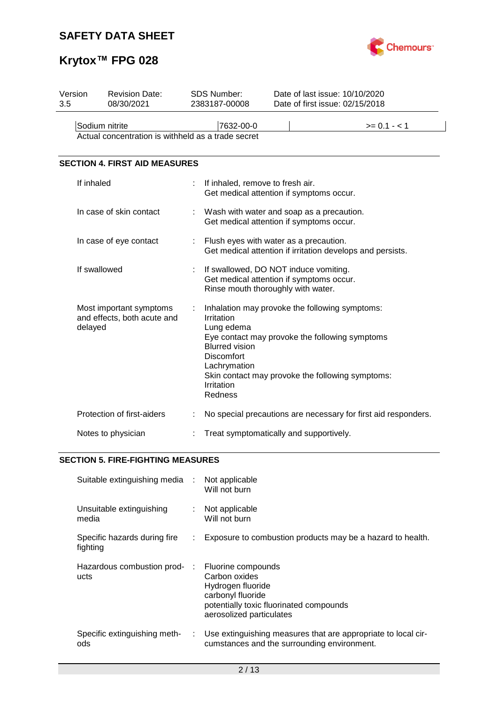

# **Krytox™ FPG 028**

| Version<br>3.5                                                       | <b>Revision Date:</b><br>08/30/2021                               |   | <b>SDS Number:</b><br>2383187-00008                                                                                     | Date of last issue: 10/10/2020<br>Date of first issue: 02/15/2018                                                                                    |
|----------------------------------------------------------------------|-------------------------------------------------------------------|---|-------------------------------------------------------------------------------------------------------------------------|------------------------------------------------------------------------------------------------------------------------------------------------------|
| Sodium nitrite<br>Actual concentration is withheld as a trade secret |                                                                   |   | 7632-00-0                                                                                                               | $>= 0.1 - 1$                                                                                                                                         |
|                                                                      | <b>SECTION 4. FIRST AID MEASURES</b>                              |   |                                                                                                                         |                                                                                                                                                      |
|                                                                      | If inhaled                                                        | t | If inhaled, remove to fresh air.<br>Get medical attention if symptoms occur.                                            |                                                                                                                                                      |
|                                                                      | In case of skin contact                                           |   | Wash with water and soap as a precaution.<br>Get medical attention if symptoms occur.                                   |                                                                                                                                                      |
|                                                                      | In case of eye contact                                            |   | Flush eyes with water as a precaution.                                                                                  | Get medical attention if irritation develops and persists.                                                                                           |
|                                                                      | If swallowed                                                      |   | If swallowed, DO NOT induce vomiting.<br>Get medical attention if symptoms occur.<br>Rinse mouth thoroughly with water. |                                                                                                                                                      |
|                                                                      | Most important symptoms<br>and effects, both acute and<br>delayed | t | Irritation<br>Lung edema<br><b>Blurred vision</b><br><b>Discomfort</b><br>Lachrymation<br>Irritation<br>Redness         | Inhalation may provoke the following symptoms:<br>Eye contact may provoke the following symptoms<br>Skin contact may provoke the following symptoms: |
|                                                                      | Protection of first-aiders                                        |   |                                                                                                                         | No special precautions are necessary for first aid responders.                                                                                       |
|                                                                      | Notes to physician                                                |   | Treat symptomatically and supportively.                                                                                 |                                                                                                                                                      |

## **SECTION 5. FIRE-FIGHTING MEASURES**

| Suitable extinguishing media :           |    | Not applicable<br>Will not burn                                                                                                                      |
|------------------------------------------|----|------------------------------------------------------------------------------------------------------------------------------------------------------|
| Unsuitable extinguishing<br>media        |    | Not applicable<br>Will not burn                                                                                                                      |
| Specific hazards during fire<br>fighting |    | Exposure to combustion products may be a hazard to health.                                                                                           |
| Hazardous combustion prod- :<br>ucts     |    | Fluorine compounds<br>Carbon oxides<br>Hydrogen fluoride<br>carbonyl fluoride<br>potentially toxic fluorinated compounds<br>aerosolized particulates |
| Specific extinguishing meth-<br>ods      | ÷. | Use extinguishing measures that are appropriate to local cir-<br>cumstances and the surrounding environment.                                         |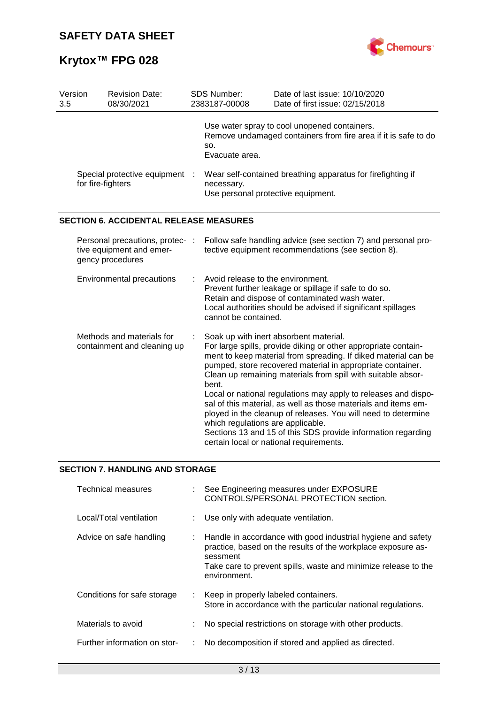

| Version<br>3.5 | <b>Revision Date:</b><br>08/30/2021                                             | SDS Number:<br>2383187-00008                              | Date of last issue: 10/10/2020<br>Date of first issue: 02/15/2018                                                                                                                                                                                                                                                                                                                                                                                                                                                                                                                                                        |
|----------------|---------------------------------------------------------------------------------|-----------------------------------------------------------|--------------------------------------------------------------------------------------------------------------------------------------------------------------------------------------------------------------------------------------------------------------------------------------------------------------------------------------------------------------------------------------------------------------------------------------------------------------------------------------------------------------------------------------------------------------------------------------------------------------------------|
|                |                                                                                 | SO.<br>Evacuate area.                                     | Use water spray to cool unopened containers.<br>Remove undamaged containers from fire area if it is safe to do                                                                                                                                                                                                                                                                                                                                                                                                                                                                                                           |
|                | Special protective equipment :<br>for fire-fighters                             | necessary.<br>Use personal protective equipment.          | Wear self-contained breathing apparatus for firefighting if                                                                                                                                                                                                                                                                                                                                                                                                                                                                                                                                                              |
|                | <b>SECTION 6. ACCIDENTAL RELEASE MEASURES</b>                                   |                                                           |                                                                                                                                                                                                                                                                                                                                                                                                                                                                                                                                                                                                                          |
|                | Personal precautions, protec- :<br>tive equipment and emer-<br>gency procedures |                                                           | Follow safe handling advice (see section 7) and personal pro-<br>tective equipment recommendations (see section 8).                                                                                                                                                                                                                                                                                                                                                                                                                                                                                                      |
|                | Environmental precautions                                                       | Avoid release to the environment.<br>cannot be contained. | Prevent further leakage or spillage if safe to do so.<br>Retain and dispose of contaminated wash water.<br>Local authorities should be advised if significant spillages                                                                                                                                                                                                                                                                                                                                                                                                                                                  |
|                | Methods and materials for<br>containment and cleaning up                        | bent.<br>which regulations are applicable.                | Soak up with inert absorbent material.<br>For large spills, provide diking or other appropriate contain-<br>ment to keep material from spreading. If diked material can be<br>pumped, store recovered material in appropriate container.<br>Clean up remaining materials from spill with suitable absor-<br>Local or national regulations may apply to releases and dispo-<br>sal of this material, as well as those materials and items em-<br>ployed in the cleanup of releases. You will need to determine<br>Sections 13 and 15 of this SDS provide information regarding<br>certain local or national requirements. |
|                |                                                                                 |                                                           |                                                                                                                                                                                                                                                                                                                                                                                                                                                                                                                                                                                                                          |

## **SECTION 7. HANDLING AND STORAGE**

| Technical measures           | : See Engineering measures under EXPOSURE<br>CONTROLS/PERSONAL PROTECTION section.                                                                                                                                         |
|------------------------------|----------------------------------------------------------------------------------------------------------------------------------------------------------------------------------------------------------------------------|
| Local/Total ventilation      | : Use only with adequate ventilation.                                                                                                                                                                                      |
| Advice on safe handling      | Handle in accordance with good industrial hygiene and safety<br>practice, based on the results of the workplace exposure as-<br>sessment<br>Take care to prevent spills, waste and minimize release to the<br>environment. |
| Conditions for safe storage  | : Keep in properly labeled containers.<br>Store in accordance with the particular national regulations.                                                                                                                    |
| Materials to avoid           | No special restrictions on storage with other products.                                                                                                                                                                    |
| Further information on stor- | No decomposition if stored and applied as directed.                                                                                                                                                                        |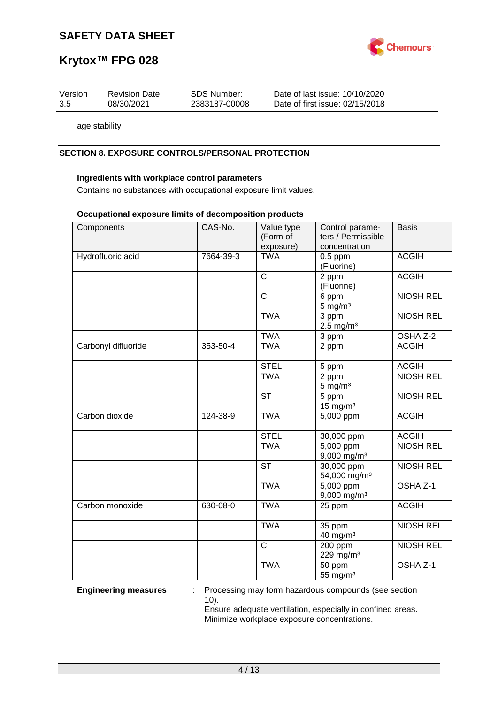

## **Krytox™ FPG 028**

| Version | <b>Revision Date:</b> | SDS Number:   | Date of last issue: 10/10/2020  |
|---------|-----------------------|---------------|---------------------------------|
| 3.5     | 08/30/2021            | 2383187-00008 | Date of first issue: 02/15/2018 |

age stability

## **SECTION 8. EXPOSURE CONTROLS/PERSONAL PROTECTION**

### **Ingredients with workplace control parameters**

Contains no substances with occupational exposure limit values.

#### **Occupational exposure limits of decomposition products**

| Components          | CAS-No.   | Value type<br>(Form of<br>exposure) | Control parame-<br>ters / Permissible<br>concentration | <b>Basis</b>     |
|---------------------|-----------|-------------------------------------|--------------------------------------------------------|------------------|
| Hydrofluoric acid   | 7664-39-3 | <b>TWA</b>                          | $0.5$ ppm                                              | <b>ACGIH</b>     |
|                     |           |                                     | (Fluorine)                                             |                  |
|                     |           | $\overline{C}$                      | 2 ppm                                                  | <b>ACGIH</b>     |
|                     |           |                                     | (Fluorine)                                             |                  |
|                     |           | $\overline{C}$                      | 6 ppm                                                  | <b>NIOSH REL</b> |
|                     |           |                                     | $5 \text{ mg/m}^3$                                     |                  |
|                     |           | <b>TWA</b>                          | 3 ppm                                                  | <b>NIOSH REL</b> |
|                     |           |                                     | $2.5 \text{ mg/m}^3$                                   |                  |
|                     |           | <b>TWA</b>                          | 3 ppm                                                  | OSHA Z-2         |
| Carbonyl difluoride | 353-50-4  | <b>TWA</b>                          | 2 ppm                                                  | <b>ACGIH</b>     |
|                     |           | <b>STEL</b>                         | 5 ppm                                                  | <b>ACGIH</b>     |
|                     |           | <b>TWA</b>                          | 2 ppm                                                  | <b>NIOSH REL</b> |
|                     |           |                                     | $5 \text{ mg/m}^3$                                     |                  |
|                     |           | $\overline{\text{ST}}$              | 5 ppm                                                  | <b>NIOSH REL</b> |
|                     |           |                                     | $15$ mg/m <sup>3</sup>                                 |                  |
| Carbon dioxide      | 124-38-9  | <b>TWA</b>                          | 5,000 ppm                                              | <b>ACGIH</b>     |
|                     |           | <b>STEL</b>                         | 30,000 ppm                                             | <b>ACGIH</b>     |
|                     |           | <b>TWA</b>                          | 5,000 ppm                                              | <b>NIOSH REL</b> |
|                     |           |                                     | 9,000 mg/m <sup>3</sup>                                |                  |
|                     |           | <b>ST</b>                           | 30,000 ppm                                             | <b>NIOSH REL</b> |
|                     |           |                                     | 54,000 mg/m <sup>3</sup>                               |                  |
|                     |           | <b>TWA</b>                          | 5,000 ppm                                              | OSHA Z-1         |
|                     |           |                                     | 9,000 mg/m <sup>3</sup>                                |                  |
| Carbon monoxide     | 630-08-0  | <b>TWA</b>                          | 25 ppm                                                 | <b>ACGIH</b>     |
|                     |           | <b>TWA</b>                          | $35$ ppm                                               | <b>NIOSH REL</b> |
|                     |           |                                     | 40 mg/m <sup>3</sup>                                   |                  |
|                     |           | $\mathsf{C}$                        | 200 ppm                                                | <b>NIOSH REL</b> |
|                     |           |                                     | 229 mg/m <sup>3</sup>                                  |                  |
|                     |           | <b>TWA</b>                          | 50 ppm                                                 | OSHA Z-1         |
|                     |           |                                     | 55 mg/m <sup>3</sup>                                   |                  |

**Engineering measures** : Processing may form hazardous compounds (see section 10).

Ensure adequate ventilation, especially in confined areas. Minimize workplace exposure concentrations.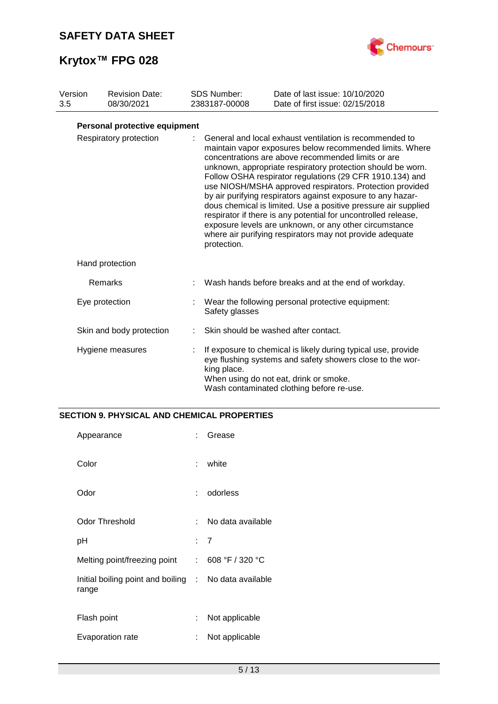

| Version<br>3.5 | <b>Revision Date:</b><br>08/30/2021 | <b>SDS Number:</b><br>2383187-00008 | Date of last issue: 10/10/2020<br>Date of first issue: 02/15/2018                                                                                                                                                                                                                                                                                                                                                                                                                                                                                                                                                                                                                         |
|----------------|-------------------------------------|-------------------------------------|-------------------------------------------------------------------------------------------------------------------------------------------------------------------------------------------------------------------------------------------------------------------------------------------------------------------------------------------------------------------------------------------------------------------------------------------------------------------------------------------------------------------------------------------------------------------------------------------------------------------------------------------------------------------------------------------|
|                | Personal protective equipment       |                                     |                                                                                                                                                                                                                                                                                                                                                                                                                                                                                                                                                                                                                                                                                           |
|                | Respiratory protection              | protection.                         | General and local exhaust ventilation is recommended to<br>maintain vapor exposures below recommended limits. Where<br>concentrations are above recommended limits or are<br>unknown, appropriate respiratory protection should be worn.<br>Follow OSHA respirator regulations (29 CFR 1910.134) and<br>use NIOSH/MSHA approved respirators. Protection provided<br>by air purifying respirators against exposure to any hazar-<br>dous chemical is limited. Use a positive pressure air supplied<br>respirator if there is any potential for uncontrolled release,<br>exposure levels are unknown, or any other circumstance<br>where air purifying respirators may not provide adequate |
|                | Hand protection                     |                                     |                                                                                                                                                                                                                                                                                                                                                                                                                                                                                                                                                                                                                                                                                           |
|                | Remarks                             |                                     | Wash hands before breaks and at the end of workday.                                                                                                                                                                                                                                                                                                                                                                                                                                                                                                                                                                                                                                       |
|                | Eye protection                      | Safety glasses                      | Wear the following personal protective equipment:                                                                                                                                                                                                                                                                                                                                                                                                                                                                                                                                                                                                                                         |
|                | Skin and body protection            |                                     | Skin should be washed after contact.                                                                                                                                                                                                                                                                                                                                                                                                                                                                                                                                                                                                                                                      |
|                | Hygiene measures                    | king place.                         | If exposure to chemical is likely during typical use, provide<br>eye flushing systems and safety showers close to the wor-<br>When using do not eat, drink or smoke.<br>Wash contaminated clothing before re-use.                                                                                                                                                                                                                                                                                                                                                                                                                                                                         |

## **SECTION 9. PHYSICAL AND CHEMICAL PROPERTIES**

| Appearance                                                     | ٠.  | Grease            |
|----------------------------------------------------------------|-----|-------------------|
| Color                                                          | t.  | white             |
| Odor                                                           | t.  | odorless          |
| <b>Odor Threshold</b>                                          | × 1 | No data available |
| рH                                                             |     | : 7               |
| Melting point/freezing point                                   |     | : 608 °F / 320 °C |
| Initial boiling point and boiling : No data available<br>range |     |                   |
| Flash point                                                    | t.  | Not applicable    |
| Evaporation rate                                               | ÷   | Not applicable    |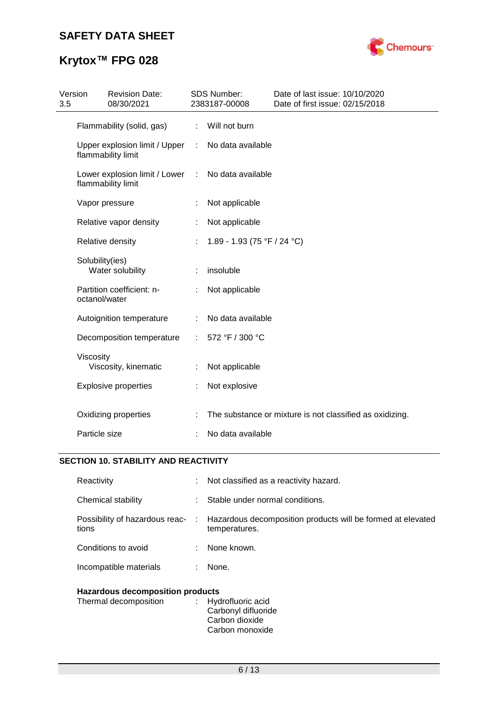

| 3.5 | Version<br><b>Revision Date:</b><br>08/30/2021      |                      | <b>SDS Number:</b><br>2383187-00008 | Date of last issue: 10/10/2020<br>Date of first issue: 02/15/2018 |
|-----|-----------------------------------------------------|----------------------|-------------------------------------|-------------------------------------------------------------------|
|     | Flammability (solid, gas)                           | ÷.                   | Will not burn                       |                                                                   |
|     | Upper explosion limit / Upper<br>flammability limit | $\mathcal{L}$        | No data available                   |                                                                   |
|     | Lower explosion limit / Lower<br>flammability limit | $\ddot{\phantom{a}}$ | No data available                   |                                                                   |
|     | Vapor pressure                                      |                      | Not applicable                      |                                                                   |
|     | Relative vapor density                              |                      | Not applicable                      |                                                                   |
|     | Relative density                                    |                      | 1.89 - 1.93 (75 °F / 24 °C)         |                                                                   |
|     | Solubility(ies)<br>Water solubility                 |                      | insoluble                           |                                                                   |
|     | Partition coefficient: n-<br>octanol/water          |                      | Not applicable                      |                                                                   |
|     | Autoignition temperature                            | ÷                    | No data available                   |                                                                   |
|     | Decomposition temperature                           | ÷.                   | 572 °F / 300 °C                     |                                                                   |
|     | Viscosity<br>Viscosity, kinematic                   |                      | Not applicable                      |                                                                   |
|     | <b>Explosive properties</b>                         | ÷.                   | Not explosive                       |                                                                   |
|     | Oxidizing properties                                |                      |                                     | The substance or mixture is not classified as oxidizing.          |
|     | Particle size                                       |                      | No data available                   |                                                                   |

## **SECTION 10. STABILITY AND REACTIVITY**

| Reactivity                              |    | $\therefore$ Not classified as a reactivity hazard.                            |  |
|-----------------------------------------|----|--------------------------------------------------------------------------------|--|
| Chemical stability                      | ÷  | Stable under normal conditions.                                                |  |
| Possibility of hazardous reac-<br>tions |    | : Hazardous decomposition products will be formed at elevated<br>temperatures. |  |
| Conditions to avoid                     |    | None known.                                                                    |  |
| Incompatible materials                  | ÷. | None.                                                                          |  |
| <b>Hazardous decomposition products</b> |    |                                                                                |  |

| . |                     |
|---|---------------------|
|   | : Hydrofluoric acid |
|   | Carbonyl difluoride |
|   | Carbon dioxide      |
|   | Carbon monoxide     |
|   |                     |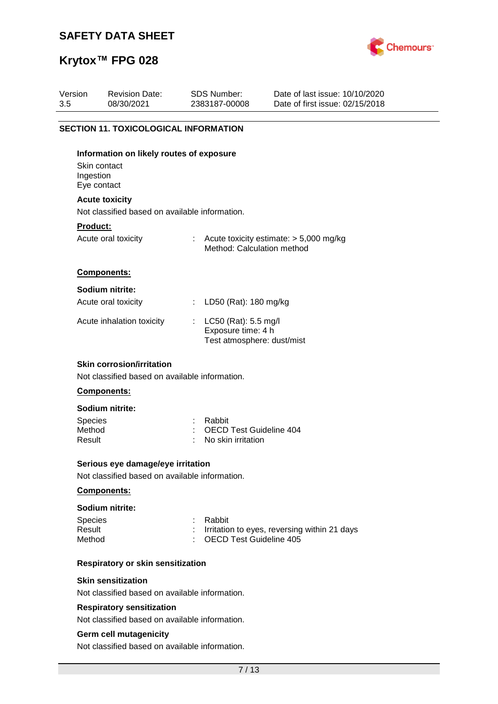

# **Krytox™ FPG 028**

| Version<br>3.5                           | <b>Revision Date:</b><br>08/30/2021                                                               |   | <b>SDS Number:</b><br>2383187-00008                                        | Date of last issue: 10/10/2020<br>Date of first issue: 02/15/2018 |  |  |  |  |
|------------------------------------------|---------------------------------------------------------------------------------------------------|---|----------------------------------------------------------------------------|-------------------------------------------------------------------|--|--|--|--|
|                                          |                                                                                                   |   |                                                                            |                                                                   |  |  |  |  |
|                                          | <b>SECTION 11. TOXICOLOGICAL INFORMATION</b>                                                      |   |                                                                            |                                                                   |  |  |  |  |
| Skin contact<br>Ingestion<br>Eye contact | Information on likely routes of exposure                                                          |   |                                                                            |                                                                   |  |  |  |  |
|                                          | <b>Acute toxicity</b>                                                                             |   |                                                                            |                                                                   |  |  |  |  |
|                                          | Not classified based on available information.                                                    |   |                                                                            |                                                                   |  |  |  |  |
| Product:                                 | Acute oral toxicity                                                                               |   | Method: Calculation method                                                 | : Acute toxicity estimate: $> 5,000$ mg/kg                        |  |  |  |  |
|                                          | Components:                                                                                       |   |                                                                            |                                                                   |  |  |  |  |
|                                          | Sodium nitrite:                                                                                   |   |                                                                            |                                                                   |  |  |  |  |
|                                          | Acute oral toxicity                                                                               | ÷ | LD50 (Rat): 180 mg/kg                                                      |                                                                   |  |  |  |  |
|                                          | Acute inhalation toxicity                                                                         |   | : LC50 (Rat): 5.5 mg/l<br>Exposure time: 4 h<br>Test atmosphere: dust/mist |                                                                   |  |  |  |  |
|                                          | <b>Skin corrosion/irritation</b><br>Not classified based on available information.<br>Components: |   |                                                                            |                                                                   |  |  |  |  |
|                                          | Sodium nitrite:                                                                                   |   |                                                                            |                                                                   |  |  |  |  |
| <b>Species</b><br>Method<br>Result       |                                                                                                   |   | Rabbit<br><b>OECD Test Guideline 404</b><br>No skin irritation             |                                                                   |  |  |  |  |
|                                          | Serious eye damage/eye irritation                                                                 |   |                                                                            |                                                                   |  |  |  |  |
|                                          | Not classified based on available information.                                                    |   |                                                                            |                                                                   |  |  |  |  |
|                                          | Components:                                                                                       |   |                                                                            |                                                                   |  |  |  |  |
|                                          | Sodium nitrite:                                                                                   |   |                                                                            |                                                                   |  |  |  |  |
| <b>Species</b><br>Result<br>Method       |                                                                                                   |   | Rabbit<br><b>OECD Test Guideline 405</b>                                   | Irritation to eyes, reversing within 21 days                      |  |  |  |  |
|                                          | <b>Respiratory or skin sensitization</b>                                                          |   |                                                                            |                                                                   |  |  |  |  |
|                                          | <b>Skin sensitization</b><br>Not classified based on available information.                       |   |                                                                            |                                                                   |  |  |  |  |
|                                          | <b>Respiratory sensitization</b>                                                                  |   |                                                                            |                                                                   |  |  |  |  |
|                                          | Not classified based on available information.                                                    |   |                                                                            |                                                                   |  |  |  |  |
|                                          | <b>Germ cell mutagenicity</b><br>Not classified based on available information.                   |   |                                                                            |                                                                   |  |  |  |  |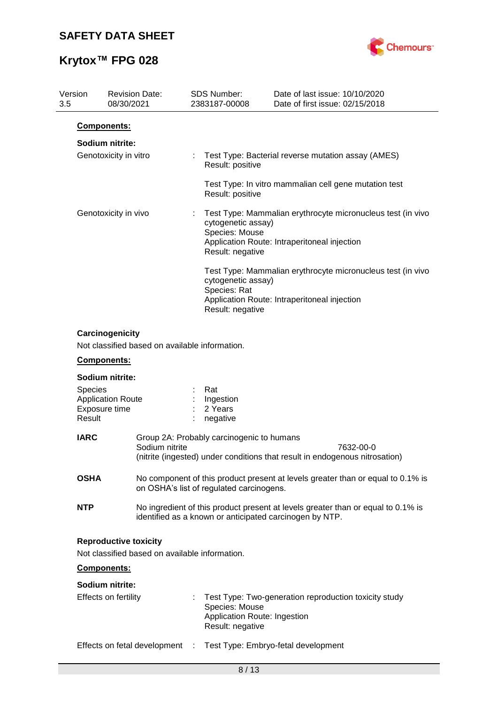

| Version<br>3.5    | <b>Revision Date:</b><br>08/30/2021                                            | <b>SDS Number:</b><br>2383187-00008                                | Date of last issue: 10/10/2020<br>Date of first issue: 02/15/2018                                                                           |
|-------------------|--------------------------------------------------------------------------------|--------------------------------------------------------------------|---------------------------------------------------------------------------------------------------------------------------------------------|
|                   | Components:                                                                    |                                                                    |                                                                                                                                             |
|                   | Sodium nitrite:<br>Genotoxicity in vitro                                       | Result: positive                                                   | Test Type: Bacterial reverse mutation assay (AMES)                                                                                          |
|                   |                                                                                | Result: positive                                                   | Test Type: In vitro mammalian cell gene mutation test                                                                                       |
|                   | Genotoxicity in vivo                                                           | cytogenetic assay)<br>Species: Mouse<br>Result: negative           | Test Type: Mammalian erythrocyte micronucleus test (in vivo<br>Application Route: Intraperitoneal injection                                 |
|                   |                                                                                | cytogenetic assay)<br>Species: Rat<br>Result: negative             | Test Type: Mammalian erythrocyte micronucleus test (in vivo<br>Application Route: Intraperitoneal injection                                 |
|                   | Carcinogenicity<br>Not classified based on available information.              |                                                                    |                                                                                                                                             |
|                   | Components:                                                                    |                                                                    |                                                                                                                                             |
| Species<br>Result | Sodium nitrite:<br><b>Application Route</b><br>Exposure time                   | Rat<br>Ingestion<br>2 Years<br>negative                            |                                                                                                                                             |
| <b>IARC</b>       | Sodium nitrite                                                                 | Group 2A: Probably carcinogenic to humans                          | 7632-00-0<br>(nitrite (ingested) under conditions that result in endogenous nitrosation)                                                    |
| <b>OSHA</b>       |                                                                                | on OSHA's list of regulated carcinogens.                           | No component of this product present at levels greater than or equal to 0.1% is                                                             |
| <b>NTP</b>        |                                                                                |                                                                    | No ingredient of this product present at levels greater than or equal to 0.1% is<br>identified as a known or anticipated carcinogen by NTP. |
|                   | <b>Reproductive toxicity</b><br>Not classified based on available information. |                                                                    |                                                                                                                                             |
|                   | Components:                                                                    |                                                                    |                                                                                                                                             |
|                   | Sodium nitrite:                                                                |                                                                    |                                                                                                                                             |
|                   | Effects on fertility                                                           | Species: Mouse<br>Application Route: Ingestion<br>Result: negative | Test Type: Two-generation reproduction toxicity study                                                                                       |

Effects on fetal development : Test Type: Embryo-fetal development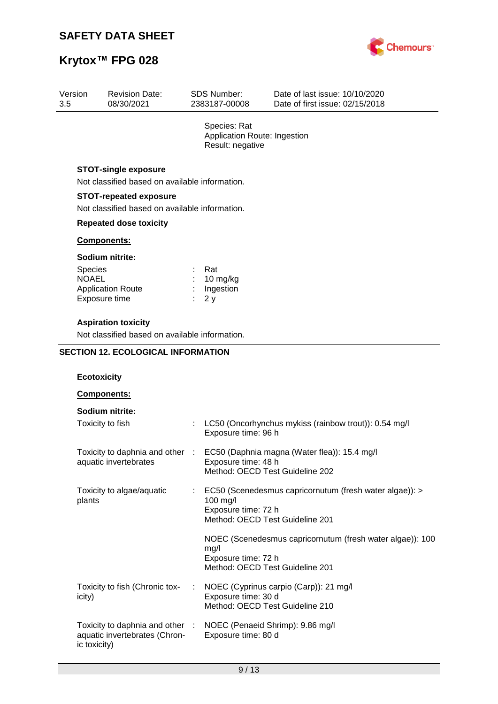Revision Date:

Toxicity to algae/aquatic

Toxicity to fish (Chronic tox-

Toxicity to daphnia and other aquatic invertebrates (Chron-

plants

icity)

ic toxicity)



Date of last issue: 10/10/2020

# **Krytox™ FPG 028**

Version

| 3.5 | 08/30/2021                                                                      | 2383187-00008                                                    | Date of first issue: 02/15/2018                       |
|-----|---------------------------------------------------------------------------------|------------------------------------------------------------------|-------------------------------------------------------|
|     |                                                                                 | Species: Rat<br>Application Route: Ingestion<br>Result: negative |                                                       |
|     | <b>STOT-single exposure</b><br>Not classified based on available information.   |                                                                  |                                                       |
|     | <b>STOT-repeated exposure</b><br>Not classified based on available information. |                                                                  |                                                       |
|     | <b>Repeated dose toxicity</b>                                                   |                                                                  |                                                       |
|     | Components:                                                                     |                                                                  |                                                       |
|     | Sodium nitrite:                                                                 |                                                                  |                                                       |
|     | <b>Species</b><br><b>NOAEL</b><br><b>Application Route</b><br>Exposure time     | Rat<br>10 mg/kg<br>Ingestion<br>2y                               |                                                       |
|     | <b>Aspiration toxicity</b><br>Not classified based on available information.    |                                                                  |                                                       |
|     | <b>SECTION 12. ECOLOGICAL INFORMATION</b>                                       |                                                                  |                                                       |
|     | <b>Ecotoxicity</b>                                                              |                                                                  |                                                       |
|     | <b>Components:</b>                                                              |                                                                  |                                                       |
|     | Sodium nitrite:                                                                 |                                                                  |                                                       |
|     | Toxicity to fish                                                                | Exposure time: 96 h                                              | LC50 (Oncorhynchus mykiss (rainbow trout)): 0.54 mg/l |
|     | Toxicity to daphnia and other :<br>aquatic invertebrates                        | Exposure time: 48 h<br>Method: OECD Test Guideline 202           | EC50 (Daphnia magna (Water flea)): 15.4 mg/l          |

100 mg/l

mg/l

Exposure time: 72 h

Exposure time: 72 h

Exposure time: 30 d

Exposure time: 80 d

Method: OECD Test Guideline 201

Method: OECD Test Guideline 201

: NOEC (Cyprinus carpio (Carp)): 21 mg/l

Method: OECD Test Guideline 210

: NOEC (Penaeid Shrimp): 9.86 mg/l

SDS Number:

: EC50 (Scenedesmus capricornutum (fresh water algae)): >

NOEC (Scenedesmus capricornutum (fresh water algae)): 100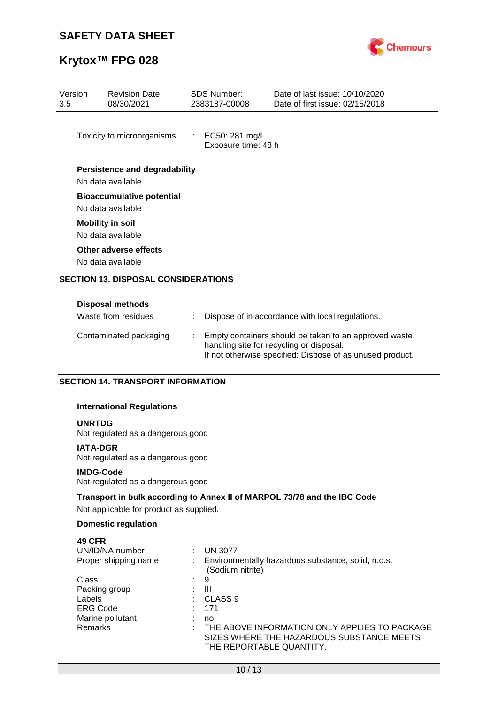

# **Krytox™ FPG 028**

| Version<br>3.5 | <b>Revision Date:</b><br>08/30/2021                   | SDS Number:<br>2383187-00008            | Date of last issue: 10/10/2020<br>Date of first issue: 02/15/2018 |
|----------------|-------------------------------------------------------|-----------------------------------------|-------------------------------------------------------------------|
|                | Toxicity to microorganisms                            | : EC50: 281 mg/l<br>Exposure time: 48 h |                                                                   |
|                | Persistence and degradability<br>No data available    |                                         |                                                                   |
|                | <b>Bioaccumulative potential</b><br>No data available |                                         |                                                                   |
|                | <b>Mobility in soil</b><br>No data available          |                                         |                                                                   |
|                | Other adverse effects<br>No data available            |                                         |                                                                   |
|                | <b>SECTION 13. DISPOSAL CONSIDERATIONS</b>            |                                         |                                                                   |
|                | <b>Disposal methods</b><br>Waste from residues        |                                         | Dispose of in accordance with local regulations.                  |

| Contaminated packaging | : Empty containers should be taken to an approved waste<br>handling site for recycling or disposal. |
|------------------------|-----------------------------------------------------------------------------------------------------|
|                        | If not otherwise specified: Dispose of as unused product.                                           |

## **SECTION 14. TRANSPORT INFORMATION**

### **International Regulations**

### **UNRTDG**

Not regulated as a dangerous good

## **IATA-DGR**

Not regulated as a dangerous good

#### **IMDG-Code**

Not regulated as a dangerous good

## **Transport in bulk according to Annex II of MARPOL 73/78 and the IBC Code**

Not applicable for product as supplied.

## **Domestic regulation**

## **49 CFR**

| UN/ID/NA number      | <b>UN 3077</b>                                                         |
|----------------------|------------------------------------------------------------------------|
| Proper shipping name | Environmentally hazardous substance, solid, n.o.s.<br>(Sodium nitrite) |
| Class                | 9                                                                      |
| Packing group        | Ш                                                                      |
| Labels               | CLASS <sub>9</sub>                                                     |
| <b>ERG Code</b>      | 171                                                                    |
| Marine pollutant     | no                                                                     |
| <b>Remarks</b>       | THE ABOVE INFORMATION ONLY APPLIES TO PACKAGE                          |
|                      | SIZES WHERE THE HAZARDOUS SUBSTANCE MEETS                              |
|                      | THE REPORTABLE QUANTITY.                                               |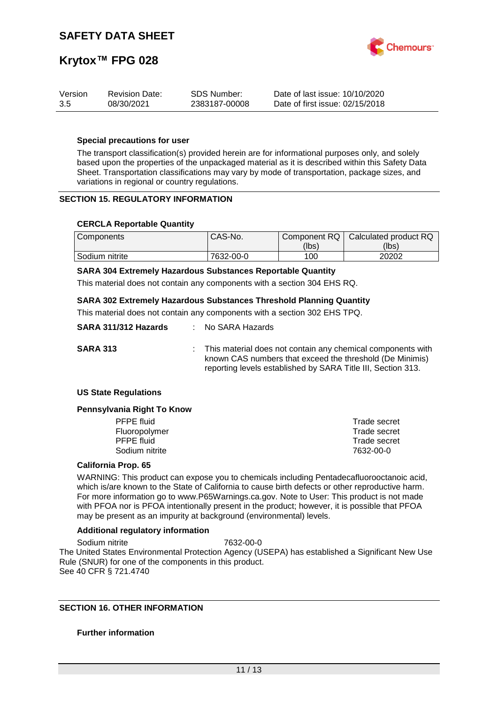

| Version | <b>Revision Date:</b> | SDS Number:   | Date of last issue: 10/10/2020  |
|---------|-----------------------|---------------|---------------------------------|
| 3.5     | 08/30/2021            | 2383187-00008 | Date of first issue: 02/15/2018 |

## **Special precautions for user**

The transport classification(s) provided herein are for informational purposes only, and solely based upon the properties of the unpackaged material as it is described within this Safety Data Sheet. Transportation classifications may vary by mode of transportation, package sizes, and variations in regional or country regulations.

### **SECTION 15. REGULATORY INFORMATION**

### **CERCLA Reportable Quantity**

| <b>Components</b> | CAS-No.   | Component RQ | Calculated product RQ |
|-------------------|-----------|--------------|-----------------------|
|                   |           | (lbs)        | (lbs)                 |
| Sodium nitrite    | 7632-00-0 | 100          | 20202                 |

#### **SARA 304 Extremely Hazardous Substances Reportable Quantity**

This material does not contain any components with a section 304 EHS RQ.

### **SARA 302 Extremely Hazardous Substances Threshold Planning Quantity**

This material does not contain any components with a section 302 EHS TPQ.

| SARA 311/312 Hazards | : No SARA Hazards                                                                                                                                                                         |
|----------------------|-------------------------------------------------------------------------------------------------------------------------------------------------------------------------------------------|
| <b>SARA 313</b>      | : This material does not contain any chemical components with<br>known CAS numbers that exceed the threshold (De Minimis)<br>reporting levels established by SARA Title III, Section 313. |

#### **US State Regulations**

#### **Pennsylvania Right To Know**

| PFPE fluid     | Trade secret |
|----------------|--------------|
| Fluoropolymer  | Trade secret |
| PFPE fluid     | Trade secret |
| Sodium nitrite | 7632-00-0    |
|                |              |

### **California Prop. 65**

WARNING: This product can expose you to chemicals including Pentadecafluorooctanoic acid, which is/are known to the State of California to cause birth defects or other reproductive harm. For more information go to www.P65Warnings.ca.gov. Note to User: This product is not made with PFOA nor is PFOA intentionally present in the product; however, it is possible that PFOA may be present as an impurity at background (environmental) levels.

#### **Additional regulatory information**

Sodium nitrite 7632-00-0 The United States Environmental Protection Agency (USEPA) has established a Significant New Use Rule (SNUR) for one of the components in this product. See 40 CFR § 721.4740

## **SECTION 16. OTHER INFORMATION**

#### **Further information**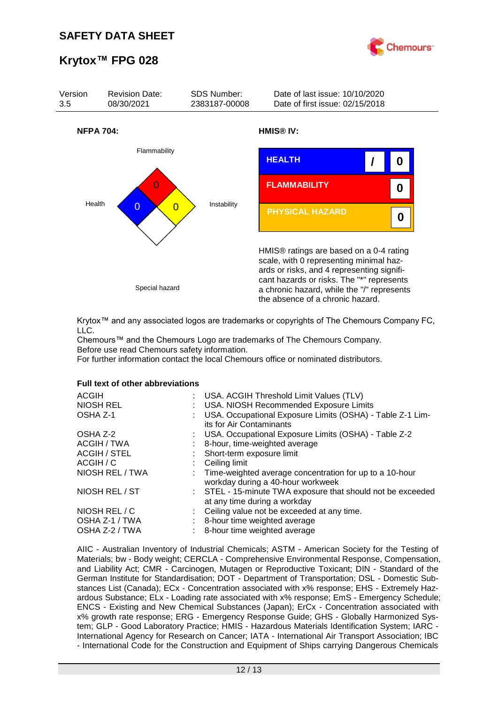



Krytox™ and any associated logos are trademarks or copyrights of The Chemours Company FC, LLC.

Chemours™ and the Chemours Logo are trademarks of The Chemours Company. Before use read Chemours safety information.

For further information contact the local Chemours office or nominated distributors.

#### **Full text of other abbreviations**

| <b>ACGIH</b><br>: USA. ACGIH Threshold Limit Values (TLV)<br>NIOSH REL<br>: USA. NIOSH Recommended Exposure Limits<br>USA. Occupational Exposure Limits (OSHA) - Table Z-1 Lim-<br>OSHA Z-1<br>its for Air Contaminants |  |
|-------------------------------------------------------------------------------------------------------------------------------------------------------------------------------------------------------------------------|--|
| : USA. Occupational Exposure Limits (OSHA) - Table Z-2<br>OSHA Z-2                                                                                                                                                      |  |
| ACGIH / TWA<br>8-hour, time-weighted average                                                                                                                                                                            |  |
| <b>ACGIH / STEL</b><br>: Short-term exposure limit                                                                                                                                                                      |  |
| ACGIH / C<br>Ceiling limit                                                                                                                                                                                              |  |
| NIOSH REL / TWA<br>: Time-weighted average concentration for up to a 10-hour<br>workday during a 40-hour workweek                                                                                                       |  |
| NIOSH REL / ST<br>: STEL - 15-minute TWA exposure that should not be exceeded<br>at any time during a workday                                                                                                           |  |
| NIOSH REL / C<br>: Ceiling value not be exceeded at any time.                                                                                                                                                           |  |
| OSHA Z-1 / TWA<br>8-hour time weighted average                                                                                                                                                                          |  |
| OSHA Z-2 / TWA<br>8-hour time weighted average                                                                                                                                                                          |  |

AIIC - Australian Inventory of Industrial Chemicals; ASTM - American Society for the Testing of Materials; bw - Body weight; CERCLA - Comprehensive Environmental Response, Compensation, and Liability Act; CMR - Carcinogen, Mutagen or Reproductive Toxicant; DIN - Standard of the German Institute for Standardisation; DOT - Department of Transportation; DSL - Domestic Substances List (Canada); ECx - Concentration associated with x% response; EHS - Extremely Hazardous Substance; ELx - Loading rate associated with x% response; EmS - Emergency Schedule; ENCS - Existing and New Chemical Substances (Japan); ErCx - Concentration associated with x% growth rate response; ERG - Emergency Response Guide; GHS - Globally Harmonized System; GLP - Good Laboratory Practice; HMIS - Hazardous Materials Identification System; IARC - International Agency for Research on Cancer; IATA - International Air Transport Association; IBC - International Code for the Construction and Equipment of Ships carrying Dangerous Chemicals